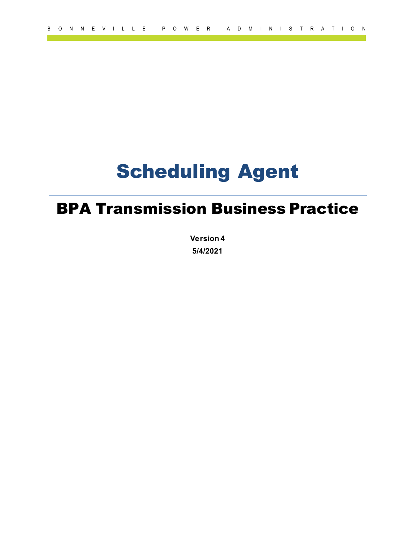# Scheduling Agent

## BPA Transmission Business Practice

**Version 4 5/4/2021**